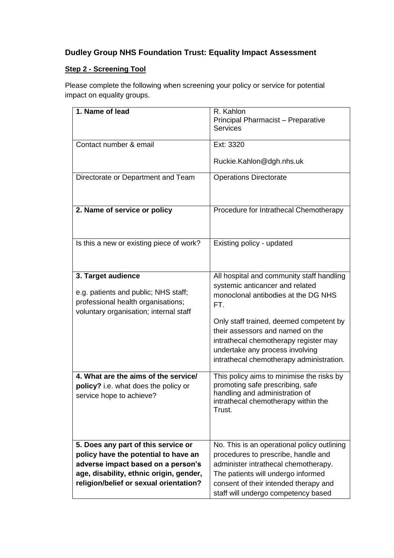## **Dudley Group NHS Foundation Trust: Equality Impact Assessment**

## **Step 2 - Screening Tool**

Please complete the following when screening your policy or service for potential impact on equality groups.

| 1. Name of lead                                                               | R. Kahlon<br>Principal Pharmacist - Preparative<br><b>Services</b>            |
|-------------------------------------------------------------------------------|-------------------------------------------------------------------------------|
|                                                                               |                                                                               |
| Contact number & email                                                        | Ext: 3320                                                                     |
|                                                                               | Ruckie.Kahlon@dgh.nhs.uk                                                      |
| Directorate or Department and Team                                            | <b>Operations Directorate</b>                                                 |
|                                                                               |                                                                               |
| 2. Name of service or policy                                                  | Procedure for Intrathecal Chemotherapy                                        |
|                                                                               |                                                                               |
| Is this a new or existing piece of work?                                      | Existing policy - updated                                                     |
|                                                                               |                                                                               |
| 3. Target audience                                                            | All hospital and community staff handling                                     |
|                                                                               | systemic anticancer and related                                               |
| e.g. patients and public; NHS staff;                                          | monoclonal antibodies at the DG NHS                                           |
| professional health organisations;                                            | FT.                                                                           |
| voluntary organisation; internal staff                                        |                                                                               |
|                                                                               | Only staff trained, deemed competent by<br>their assessors and named on the   |
|                                                                               | intrathecal chemotherapy register may                                         |
|                                                                               | undertake any process involving                                               |
|                                                                               | intrathecal chemotherapy administration.                                      |
|                                                                               |                                                                               |
| 4. What are the aims of the service/                                          | This policy aims to minimise the risks by<br>promoting safe prescribing, safe |
| policy? i.e. what does the policy or<br>service hope to achieve?              | handling and administration of                                                |
|                                                                               | intrathecal chemotherapy within the                                           |
|                                                                               | Trust.                                                                        |
|                                                                               |                                                                               |
|                                                                               |                                                                               |
| 5. Does any part of this service or                                           | No. This is an operational policy outlining                                   |
| policy have the potential to have an                                          | procedures to prescribe, handle and                                           |
| adverse impact based on a person's<br>age, disability, ethnic origin, gender, | administer intrathecal chemotherapy.<br>The patients will undergo informed    |
| religion/belief or sexual orientation?                                        | consent of their intended therapy and                                         |
|                                                                               | staff will undergo competency based                                           |